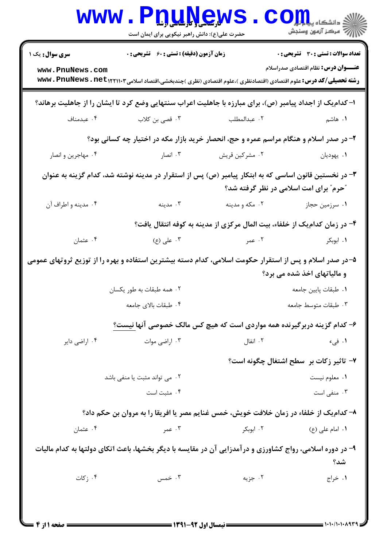|                                                                                                                                                        | WWW.PDUNGW<br>حضرت علی(ع): دانش راهبر نیکویی برای ایمان است                                                                           |                                                                           | أأآت مركز آزمون وسنجش                                                                      |  |  |
|--------------------------------------------------------------------------------------------------------------------------------------------------------|---------------------------------------------------------------------------------------------------------------------------------------|---------------------------------------------------------------------------|--------------------------------------------------------------------------------------------|--|--|
| <b>سری سوال :</b> یک ۱<br>www.PnuNews.com                                                                                                              | <b>زمان آزمون (دقیقه) : تستی : 60 ٪ تشریحی : 0</b>                                                                                    |                                                                           | <b>تعداد سوالات : تستی : 30 ٪ تشریحی : 0</b><br><b>عنـــوان درس:</b> نظام اقتصادی صدراسلام |  |  |
|                                                                                                                                                        | <b>رشته تحصیلی/کد درس:</b> علوم اقتصادی (اقتصادنظری )،علوم اقتصادی (نظری )چندبخشی،اقتصاد اسلامی۱۲۲۱۱۰۳سکار <b>www . PnuNews . net</b> |                                                                           |                                                                                            |  |  |
| ا- کدام یک از اجداد پیامبر (ص)، برای مبارزه با جاهلیت اعراب سنتهایی وضع کرد تا ایشان را از جاهلیت برهاند؟                                              |                                                                                                                                       |                                                                           |                                                                                            |  |  |
| ۰۴ عبدمناف                                                                                                                                             | ۰۳ قصی بن کلاب                                                                                                                        | ۰۲ عبدالمطلب                                                              | <b>۱</b> . هاشم                                                                            |  |  |
| ۲- در صدر اسلام و هنگام مراسم عمره و حج، انحصار خرید بازار مکه در اختیار چه کسانی بود؟                                                                 |                                                                                                                                       |                                                                           |                                                                                            |  |  |
| ۰۴ مهاجرین و انصار                                                                                                                                     | ۰۳ انصار                                                                                                                              | ۰۲ مشرکین قریش                                                            | ۰۱ يهوديان                                                                                 |  |  |
| ۳- در نخستین قانون اساسی که به ابتکار پیامبر (ص) پس از استقرار در مدینه نوشته شد، کدام گزینه به عنوان<br><b>"حرم" برای امت اسلامی در نظر گرفته شد؟</b> |                                                                                                                                       |                                                                           |                                                                                            |  |  |
| ۰۴ مدينه و اطراف آن                                                                                                                                    | . مدينه $\cdot$                                                                                                                       | ۰۲ مکه و مدينه                                                            | ۰۱ سرزمین حجاز                                                                             |  |  |
|                                                                                                                                                        |                                                                                                                                       | ۴- در زمان کدامیک از خلفاء، بیت المال مرکزی از مدینه به کوفه انتقال یافت؟ |                                                                                            |  |  |
| ۰۴ عثمان                                                                                                                                               | ۰۳ علی (ع)                                                                                                                            | ۲. عمر                                                                    | ۰۱ ابوبکر                                                                                  |  |  |
| ۵–در صدر اسلام و پس از استقرار حکومت اسلامی، کدام دسته بیشترین استفاده و بهره را از توزیع ثروتهای عمومی<br>و مالیاتهای اخذ شده می برد؟                 |                                                                                                                                       |                                                                           |                                                                                            |  |  |
|                                                                                                                                                        | ۰۲ همه طبقات به طور یکسان                                                                                                             |                                                                           | ٠١ طبقات پايين جامعه                                                                       |  |  |
|                                                                                                                                                        | ۰۴ طبقات بالای جامعه                                                                                                                  |                                                                           | ٠٣ طبقات متوسط جامعه                                                                       |  |  |
|                                                                                                                                                        | ۶- کدام گزینه دربرگیرنده همه مواردی است که هیچ کس مالک خصوصی آنها نیست؟                                                               |                                                                           |                                                                                            |  |  |
| ۰۴ اراضي داير                                                                                                                                          | ۰۳ اراضی موات                                                                                                                         | ۰۲ انفال                                                                  | ۰۱ فی،                                                                                     |  |  |
|                                                                                                                                                        |                                                                                                                                       |                                                                           | ٧- تاثير زكات بر سطح اشتغال چگونه است؟                                                     |  |  |
|                                                                                                                                                        | ۰۲ می تواند مثبت یا منفی باشد                                                                                                         |                                                                           | ٠١ معلوم نيست                                                                              |  |  |
|                                                                                                                                                        | ۰۴ مثبت است                                                                                                                           |                                                                           | ۰۳ منفی است                                                                                |  |  |
|                                                                                                                                                        | ۸- کدام یک از خلفاء در زمان خلافت خویش، خمس غنایم مصر یا افریقا را به مروان بن حکم داد؟                                               |                                                                           |                                                                                            |  |  |
| ۰۴ عثمان                                                                                                                                               | ۰۳ عمر                                                                                                                                | ۰۲ ابوبکر                                                                 | ۱. امام علی (ع)                                                                            |  |  |
| ۹- در دوره اسلامی، رواج کشاورزی و درآمدزایی آن در مقایسه با دیگر بخشها، باعث اتکای دولتها به کدام مالیات<br>شد؟                                        |                                                                                                                                       |                                                                           |                                                                                            |  |  |
| ۰۴ ز کات                                                                                                                                               | ۰۳ خمس                                                                                                                                | ۰۲ جزیه                                                                   | ۰۱ خراج                                                                                    |  |  |
|                                                                                                                                                        |                                                                                                                                       |                                                                           |                                                                                            |  |  |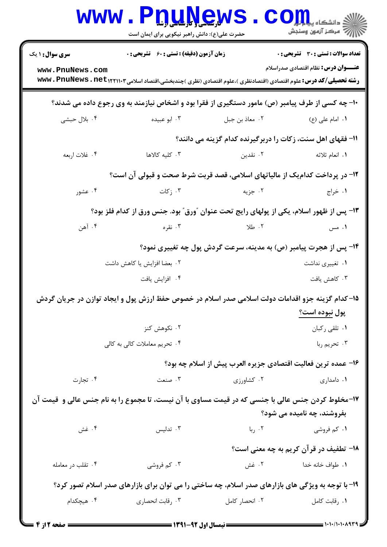| <b>WWW</b>                                                                                         | <b>TUTING MP</b><br>حضرت علی(ع): دانش راهبر نیکویی برای ایمان است                                                                |                                                                                                                                                                                                                                                                                              | $\mathbf{CO}_{\mathbf{H}}$ i دانشکاه پیل       |  |
|----------------------------------------------------------------------------------------------------|----------------------------------------------------------------------------------------------------------------------------------|----------------------------------------------------------------------------------------------------------------------------------------------------------------------------------------------------------------------------------------------------------------------------------------------|------------------------------------------------|--|
| <b>سری سوال : ۱ یک</b>                                                                             | <b>زمان آزمون (دقیقه) : تستی : 60 ٪ تشریحی : 0</b>                                                                               |                                                                                                                                                                                                                                                                                              | <b>تعداد سوالات : تستی : 30 ٪ تشریحی : 0</b>   |  |
| www.PnuNews.com                                                                                    | <b>رشته تحصیلی/کد درس:</b> علوم اقتصادی (اقتصادنظری )،علوم اقتصادی (نظری )چندبخشی،اقتصاد اسلامی۱۰۳(۱۲۲۱۰۳ <b>. www . PnuNews</b> |                                                                                                                                                                                                                                                                                              | <b>عنـــوان درس:</b> نظام اقتصادی صدراسلام     |  |
| ۱۰- چه کسی از طرف پیامبر (ص) مامور دستگیری از فقرا بود و اشخاص نیازمند به وی رجوع داده می شدند؟    |                                                                                                                                  |                                                                                                                                                                                                                                                                                              |                                                |  |
| ۰۴ بلال حبشي                                                                                       | ۰۳ ابو عبیده                                                                                                                     | ۰۲ معاذ بن جبل                                                                                                                                                                                                                                                                               | ۱. امام علی (ع)                                |  |
|                                                                                                    |                                                                                                                                  | ۱۱- فقهای اهل سنت، زکات را دربرگیرنده کدام گزینه می دانند؟                                                                                                                                                                                                                                   |                                                |  |
| ۰۴ غلات اربعه                                                                                      | ۰۳ کلیه کالاها                                                                                                                   | ۰۲ نقدین                                                                                                                                                                                                                                                                                     | <b>۱.</b> انعام ثلاثه                          |  |
| ۱۲- در پرداخت کدام یک از مالیاتهای اسلامی، قصد قربت شرط صحت و قبولی آن است؟                        |                                                                                                                                  |                                                                                                                                                                                                                                                                                              |                                                |  |
| ۰۴ عشور                                                                                            | ۰۳ ز کات $\cdot$                                                                                                                 | ۰۲ جزیه                                                                                                                                                                                                                                                                                      | ۰۱ خراج                                        |  |
|                                                                                                    | ۱۳- پس از ظهور اسلام، یکی از پولهای رایج تحت عنوان "ورق" بود. جنس ورق از کدام فلز بود؟                                           |                                                                                                                                                                                                                                                                                              |                                                |  |
| ۰۴ آهن                                                                                             | ۰۳ نقره                                                                                                                          | $\sim$ 3.1 $\sim$ 4 $\sim$ 5 $\sim$ 5 $\sim$ 5 $\sim$ 5 $\sim$ 5 $\sim$ 5 $\sim$ 5 $\sim$ 5 $\sim$ 5 $\sim$ 5 $\sim$ 5 $\sim$ 5 $\sim$ 5 $\sim$ 5 $\sim$ 5 $\sim$ 5 $\sim$ 5 $\sim$ 5 $\sim$ 5 $\sim$ 5 $\sim$ 5 $\sim$ 5 $\sim$ 5 $\sim$ 5 $\sim$ 5 $\sim$ 5 $\sim$ 5 $\sim$ 5 $\sim$ 5 $\$ | ۰۱ مس                                          |  |
|                                                                                                    |                                                                                                                                  | ۱۴- پس از هجرت پیامبر (ص) به مدینه، سرعت گردش پول چه تغییری نمود؟                                                                                                                                                                                                                            |                                                |  |
|                                                                                                    | ۰۲ بعضا افزایش یا کاهش داشت                                                                                                      |                                                                                                                                                                                                                                                                                              | ۰۱ تغییری نداشت                                |  |
|                                                                                                    | ۰۴ افزايش يافت                                                                                                                   |                                                                                                                                                                                                                                                                                              | ۰۳ کاهش یافت                                   |  |
|                                                                                                    | ۱۵– کدام گزینه جزو اقدامات دولت اسلامی صدر اسلام در خصوص حفظ ارزش پول و ایجاد توازن در جریان گردش                                |                                                                                                                                                                                                                                                                                              |                                                |  |
|                                                                                                    |                                                                                                                                  |                                                                                                                                                                                                                                                                                              | پول نبوده است؟                                 |  |
|                                                                                                    | ۰۲ نکوهش کنز<br>۰۴ تحریم معاملات کالی به کالی                                                                                    |                                                                                                                                                                                                                                                                                              | ٠١ تلقى ركبان<br>۰۳ تحريم ربا                  |  |
|                                                                                                    |                                                                                                                                  |                                                                                                                                                                                                                                                                                              |                                                |  |
| ۰۴ تجارت                                                                                           | ۰۳ صنعت                                                                                                                          | ۱۶– عمده ترین فعالیت اقتصادی جزیره العرب پیش از اسلام چه بود؟<br>۰۲ کشاورزی                                                                                                                                                                                                                  | ۰۱ دامداری                                     |  |
|                                                                                                    |                                                                                                                                  |                                                                                                                                                                                                                                                                                              |                                                |  |
|                                                                                                    | ۱۷-مخلوط کردن جنس عالی با جنسی که در قیمت مساوی با آن نیست، تا مجموع را به نام جنس عالی و  قیمت آن                               |                                                                                                                                                                                                                                                                                              | بفروشند، چه نامیده می شود؟                     |  |
| ۰۴ غش                                                                                              | ۰۳ تدلیس                                                                                                                         | ۰۲ ربا                                                                                                                                                                                                                                                                                       | ۰۱ کم فروشی                                    |  |
|                                                                                                    |                                                                                                                                  |                                                                                                                                                                                                                                                                                              | <b>۱۸</b> - تطفیف در قرآن کریم به چه معنی است؟ |  |
| ۰۴ تقلب در معامله                                                                                  | ۰۳ کم فروشی                                                                                                                      |                                                                                                                                                                                                                                                                                              | ٠١. طواف خانه خدا مسمع ٢٠. غش                  |  |
| ۱۹- با توجه به ویژگی های بازارهای صدر اسلام، چه ساختی را می توان برای بازارهای صدر اسلام تصور کرد؟ |                                                                                                                                  |                                                                                                                                                                                                                                                                                              |                                                |  |
| ۰۴ هیچکدام                                                                                         | ۰۳ رقابت انحصاری                                                                                                                 | ۰۲ انحصار کامل                                                                                                                                                                                                                                                                               | ۰۱ رقابت کامل                                  |  |
|                                                                                                    |                                                                                                                                  |                                                                                                                                                                                                                                                                                              |                                                |  |

 $\blacksquare$  )  $\cdot$  )  $\cdot$  )  $\cdot$  )  $\cdot$   $\wedge$  9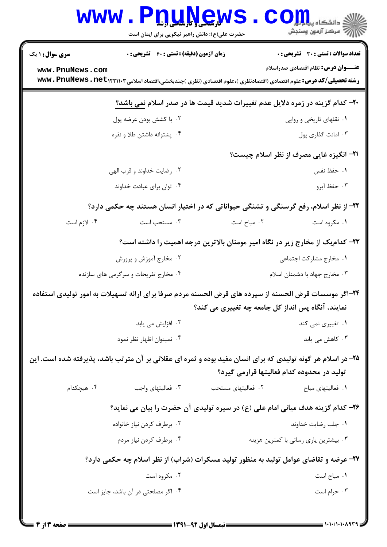| <b>WWW.</b>                                                                          | PnuNew<br>حضرت علی(ع): دانش راهبر نیکویی برای ایمان است                                                                                                   |                                                                                | ي<br>ي دانشڪاه پ <b>يا ۽ بول</b><br>أأزام الراكز أزمون وسنجش |  |
|--------------------------------------------------------------------------------------|-----------------------------------------------------------------------------------------------------------------------------------------------------------|--------------------------------------------------------------------------------|--------------------------------------------------------------|--|
| <b>سری سوال : ۱ یک</b>                                                               | زمان آزمون (دقیقه) : تستی : 60 ٪ تشریحی : 0                                                                                                               |                                                                                | <b>تعداد سوالات : تستی : 30 ٪ تشریحی : 0</b>                 |  |
| www.PnuNews.com                                                                      | <b>رشته تحصیلی/کد درس:</b> علوم اقتصادی (اقتصادنظری )،علوم اقتصادی (نظری )چندبخشی،اقتصاد اسلامی۱۲۲۱۱۰۳م <b>. www . PnuNews</b>                            |                                                                                | <b>عنـــوان درس:</b> نظام اقتصادی صدراسلام                   |  |
|                                                                                      | +۲- کدام گزینه در زمره دلایل عدم تغییرات شدید قیمت ها در صدر اسلام نمی باشد؟                                                                              |                                                                                |                                                              |  |
|                                                                                      | ۰۲ با کشش بودن عرضه پول                                                                                                                                   |                                                                                | ۰۱ نقلهای تاریخی و روایی                                     |  |
|                                                                                      | ۰۴ پشتوانه داشتن طلا و نقره                                                                                                                               |                                                                                | ۰۳ امانت گذاری پول                                           |  |
|                                                                                      |                                                                                                                                                           |                                                                                | <b>۲۱- انگیزه غایی مصرف از نظر اسلام چیست</b> ؟              |  |
|                                                                                      | ۰۲ رضایت خداوند و قرب الهی                                                                                                                                |                                                                                | ٠١. حفظ نفس                                                  |  |
|                                                                                      | ۰۴ توان برای عبادت خداوند                                                                                                                                 |                                                                                | ۰۳ حفظ آبرو                                                  |  |
| ۲۲- از نظر اسلام، رفع گرسنگی و تشنگی حیواناتی که در اختیار انسان هستند چه حکمی دارد؟ |                                                                                                                                                           |                                                                                |                                                              |  |
| ۰۴ لازم است                                                                          | ۰۳ مستحب است                                                                                                                                              | ۰۲ مباح است                                                                    | ۰۱ مکروه است                                                 |  |
|                                                                                      |                                                                                                                                                           | ۲۳– کدام یک از مخارج زیر در نگاه امیر مومنان بالاترین درجه اهمیت را داشته است؟ |                                                              |  |
|                                                                                      | ۰۲ مخارج آموزش و پرورش                                                                                                                                    |                                                                                | ٠١ مخارج مشاركت اجتماعي                                      |  |
|                                                                                      | ۰۴ مخارج تفریحات و سرگرمی های سازنده                                                                                                                      |                                                                                | ۰۳ مخارج جهاد با دشمنان اسلام                                |  |
|                                                                                      | ۲۴–اگر موسسات قرض الحسنه از سپرده های قرض الحسنه مردم صرفا برای ارائه تسهیلات به امور تولیدی استفاده<br>نمایند، آنگاه پس انداز کل جامعه چه تغییری می کند؟ |                                                                                |                                                              |  |
|                                                                                      | ۰۲ افزایش می یابد                                                                                                                                         |                                                                                | ۰۱ تغییری نمی کند                                            |  |
|                                                                                      | ۰۴ نمیتوان اظهار نظر نمود                                                                                                                                 |                                                                                | ۰۳ کاهش می یابد                                              |  |
|                                                                                      | ۲۵- در اسلام هر گونه تولیدی که برای انسان مفید بوده و ثمره ای عقلانی بر آن مترتب باشد، پذیرفته شده است. این                                               |                                                                                |                                                              |  |
|                                                                                      |                                                                                                                                                           |                                                                                | تولید در محدوده کدام فعالیتها قرارمی گیرد؟                   |  |
| ۰۴ هیچکدام                                                                           | ۰۳ فعالیتهای واجب                                                                                                                                         | ۰۲ فعالیتهای مستحب                                                             | ۰۱ فعالیتهای مباح                                            |  |
|                                                                                      | ۲۶- کدام گزینه هدف میانی امام علی (ع) در سیره تولیدی آن حضرت را بیان می نماید؟                                                                            |                                                                                |                                                              |  |
|                                                                                      | ۰۲ برطرف کردن نیاز خانواده                                                                                                                                |                                                                                | ٠١ جلب رضايت خداوند                                          |  |
|                                                                                      | ۰۴ برطرف كردن نياز مردم                                                                                                                                   |                                                                                | ۰۳ بیشترین یاری رسانی با کمترین هزینه                        |  |
|                                                                                      | ۲۷- عرضه و تقاضای عوامل تولید به منظور تولید مسکرات (شراب) از نظر اسلام چه حکمی دارد؟                                                                     |                                                                                |                                                              |  |
|                                                                                      | ۰۲ مکروه است                                                                                                                                              |                                                                                | ٠١. مباح است                                                 |  |
|                                                                                      | ۰۴ اگر مصلحتی در آن باشد، جایز است                                                                                                                        |                                                                                | ۰۳ حرام است                                                  |  |
|                                                                                      |                                                                                                                                                           |                                                                                |                                                              |  |